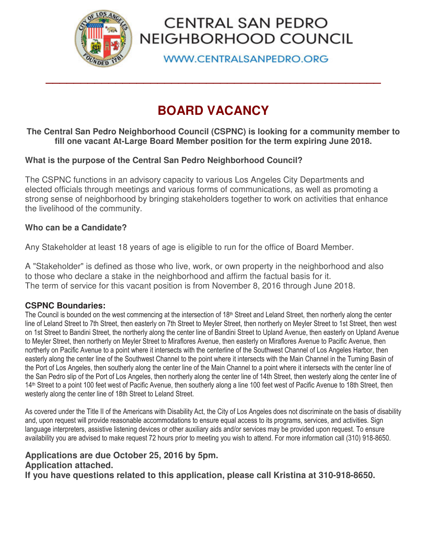

# CENTRAL SAN PEDRO NEIGHBORHOOD COUNCIL

**WWW.CENTRALSANPEDRO.ORG** 

# **BOARD VACANCY**

**\_\_\_\_\_\_\_\_\_\_\_\_\_\_\_\_\_\_\_\_\_\_\_\_\_\_\_\_\_\_\_\_\_\_\_\_\_\_\_\_\_\_\_\_\_\_\_\_** 

### **The Central San Pedro Neighborhood Council (CSPNC) is looking for a community member to fill one vacant At-Large Board Member position for the term expiring June 2018.**

### **What is the purpose of the Central San Pedro Neighborhood Council?**

The CSPNC functions in an advisory capacity to various Los Angeles City Departments and elected officials through meetings and various forms of communications, as well as promoting a strong sense of neighborhood by bringing stakeholders together to work on activities that enhance the livelihood of the community.

### **Who can be a Candidate?**

Any Stakeholder at least 18 years of age is eligible to run for the office of Board Member.

A "Stakeholder" is defined as those who live, work, or own property in the neighborhood and also to those who declare a stake in the neighborhood and affirm the factual basis for it. The term of service for this vacant position is from November 8, 2016 through June 2018.

#### **CSPNC Boundaries:**

The Council is bounded on the west commencing at the intersection of 18<sup>th</sup> Street and Leland Street, then northerly along the center line of Leland Street to 7th Street, then easterly on 7th Street to Meyler Street, then northerly on Meyler Street to 1st Street, then west on 1st Street to Bandini Street, the northerly along the center line of Bandini Street to Upland Avenue, then easterly on Upland Avenue to Meyler Street, then northerly on Meyler Street to Miraflores Avenue, then easterly on Miraflores Avenue to Pacific Avenue, then northerly on Pacific Avenue to a point where it intersects with the centerline of the Southwest Channel of Los Angeles Harbor, then easterly along the center line of the Southwest Channel to the point where it intersects with the Main Channel in the Turning Basin of the Port of Los Angeles, then southerly along the center line of the Main Channel to a point where it intersects with the center line of the San Pedro slip of the Port of Los Angeles, then northerly along the center line of 14th Street, then westerly along the center line of 14<sup>th</sup> Street to a point 100 feet west of Pacific Avenue, then southerly along a line 100 feet west of Pacific Avenue to 18th Street, then westerly along the center line of 18th Street to Leland Street.

As covered under the Title II of the Americans with Disability Act, the City of Los Angeles does not discriminate on the basis of disability and, upon request will provide reasonable accommodations to ensure equal access to its programs, services, and activities. Sign language interpreters, assistive listening devices or other auxiliary aids and/or services may be provided upon request. To ensure availability you are advised to make request 72 hours prior to meeting you wish to attend. For more information call (310) 918-8650.

## **Applications are due October 25, 2016 by 5pm. Application attached.**

**If you have questions related to this application, please call Kristina at 310-918-8650.**